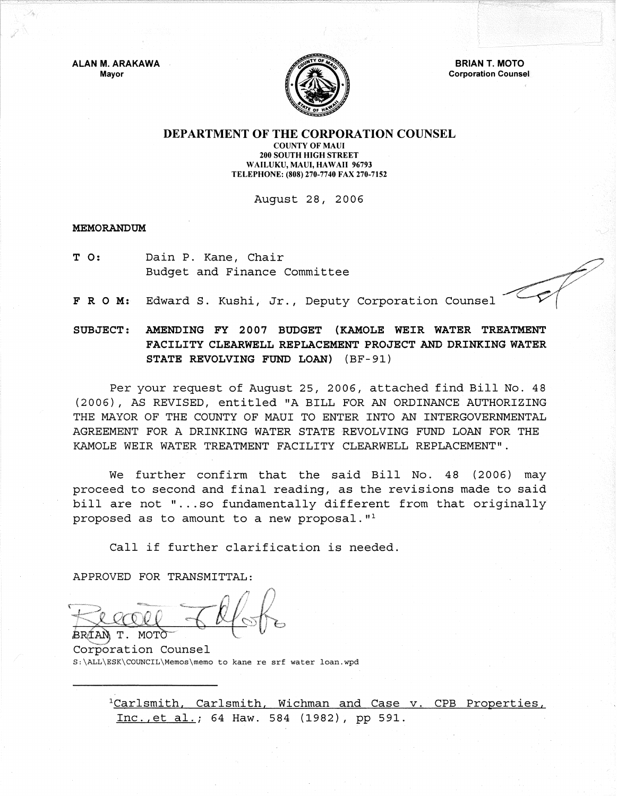ALAN M. ARAKAWA Mayor



**BRIAN T. MOTO** Corporation Counsel

## DEPARTMENT OF THE CORPORATION COUNSEL

COUNTY OF MAUl 200 SOUTH HIGH STREET WAILUKU, MAUI, HAWAII 96793 TELEPHONE: (808) 270-7740 FAX 270-7152

August 28, 2006

**MEMORANDUM** 

T 0: Dain P. Kane, Chair Budget and Finance Committee

F R O M: Edward S. Kushi, Jr., Deputy Corporation Counsel

## SUBJECT: AMENDING FY 2007 BUDGET (KAMOLE WEIR WATER TREATMENT FACILITY CLEARWELL REPLACEMENT PROJECT AND DRINKING WATER STATE REVOLVING FUND LOAN) (BF-91)

Per your request of August 25, 2006, attached find Bill No. 48 (2006), AS REVISED, entitled "A BILL FOR AN ORDINANCE AUTHORIZING THE MAYOR OF THE COUNTY OF MAUl TO ENTER INTO AN INTERGOVERNMENTAL AGREEMENT FOR A DRINKING WATER STATE REVOLVING FUND LOAN FOR THE KAMOLE WEIR WATER TREATMENT FACILITY CLEARWELL REPLACEMENT".

We further confirm that the said Bill No. 48 (2006) may proceed to second and final reading, as the revisions made to said bill are not "...so fundamentally different from that originally proposed as to amount to a new proposal.  $"$ <sup>1</sup>

Call if further clarification is needed.

APPROVED FOR TRANSMITTAL:

**MOT** RR/TAN Τ.

Corporation Counsel S:\ALL\ESK\COUNCIL\Memos\memo to kane re srf water loan.wpd

> <sup>1</sup>Carlsmith, Carlsmith, Wichman and Case v. CPB Properties, Inc., et al.; 64 Haw. 584 (1982), pp 591.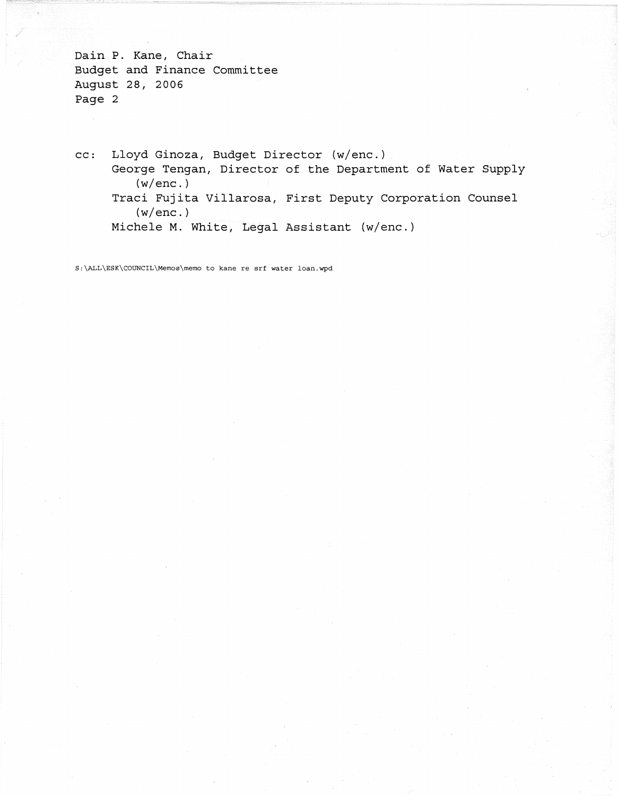Dain P. Kane, Chair Budget and Finance Committee August 28, 2006 Page 2

cc: Lloyd Ginoza, Budget Director (w/enc.) George Tengan, Director of the Department of Water Supply (w/enc.) Traci Fujita Villarosa, First Deputy Corporation Counsel  $(w/enc.)$ Michele M. White, Legal Assistant (w/enc.)

S:\ALL\ESK\COUNCIL\Memos\memo to kane re srf water loan.wpd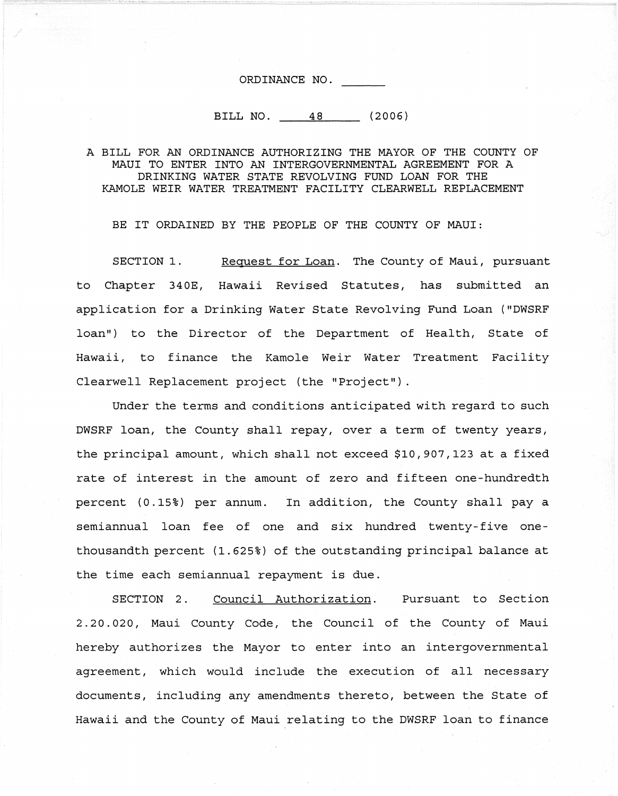ORDINANCE NO.

BILL NO. 48 (2006)

## A BILL FOR AN ORDINANCE AUTHORIZING THE MAYOR OF THE COUNTY OF MAUl TO ENTER INTO AN INTERGOVERNMENTAL AGREEMENT FOR A DRINKING WATER STATE REVOLVING FUND LOAN FOR THE KAMOLE WEIR WATER TREATMENT FACILITY CLEARWELL REPLACEMENT

BE IT ORDAINED BY THE PEOPLE OF THE COUNTY OF MAUI:

SECTION 1. Request for Loan. The County of Maui, pursuant to Chapter 340E, Hawaii Revised Statutes, has submitted an application for a Drinking Water State Revolving Fund Loan ("DWSRF loan") to the Director of the Department of Health, State of Hawaii, to finance the Kamole Weir Water Treatment Facility Clearwell Replacement project (the "Project").

Under the terms and conditions anticipated with regard to such DWSRF loan, the County shall repay, over a term of twenty years, the principal amount, which shall not exceed \$10,907,123 at a fixed rate of interest in the amount of zero and fifteen one-hundredth percent (0.15%) per annum. In addition, the County shall pay a semiannual loan fee of one and six hundred twenty-five onethousandth percent (1.625%) of the outstanding principal balance at the time each semiannual repayment is due.

SECTION 2. Council Authorization. Pursuant to Section 2.20.020, Maui County Code, the Council of the County of Maui hereby authorizes the Mayor to enter into an intergovernmental agreement, which would include the execution of all necessary documents, including any amendments thereto, between the State of Hawaii and the County of Maui relating to the DWSRF loan to finance